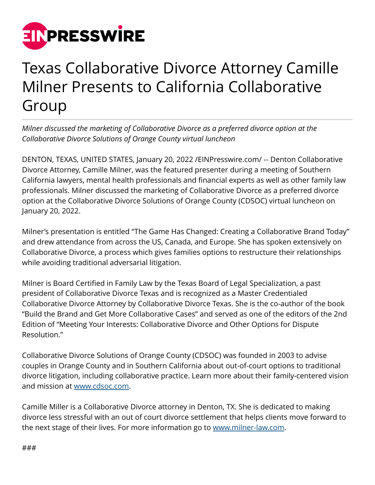

## Texas Collaborative Divorce Attorney Camille Milner Presents to California Collaborative Group

*Milner discussed the marketing of Collaborative Divorce as a preferred divorce option at the Collaborative Divorce Solutions of Orange County virtual luncheon*

DENTON, TEXAS, UNITED STATES, January 20, 2022 [/EINPresswire.com](http://www.einpresswire.com)/ -- Denton Collaborative Divorce Attorney, Camille Milner, was the featured presenter during a meeting of Southern California lawyers, mental health professionals and financial experts as well as other family law professionals. Milner discussed the marketing of Collaborative Divorce as a preferred divorce option at the Collaborative Divorce Solutions of Orange County (CDSOC) virtual luncheon on January 20, 2022.

Milner's presentation is entitled "The Game Has Changed: Creating a Collaborative Brand Today" and drew attendance from across the US, Canada, and Europe. She has spoken extensively on Collaborative Divorce, a process which gives families options to restructure their relationships while avoiding traditional adversarial litigation.

Milner is Board Certified in Family Law by the Texas Board of Legal Specialization, a past president of Collaborative Divorce Texas and is recognized as a Master Credentialed Collaborative Divorce Attorney by Collaborative Divorce Texas. She is the co-author of the book "Build the Brand and Get More Collaborative Cases" and served as one of the editors of the 2nd Edition of "Meeting Your Interests: Collaborative Divorce and Other Options for Dispute Resolution."

Collaborative Divorce Solutions of Orange County (CDSOC) was founded in 2003 to advise couples in Orange County and in Southern California about out-of-court options to traditional divorce litigation, including collaborative practice. Learn more about their family-centered vision and mission at [www.cdsoc.com.](http://www.cdsoc.com)

Camille Miller is a Collaborative Divorce attorney in Denton, TX. She is dedicated to making divorce less stressful with an out of court divorce settlement that helps clients move forward to the next stage of their lives. For more information go to [www.milner-law.com](http://www.milner-law.com).